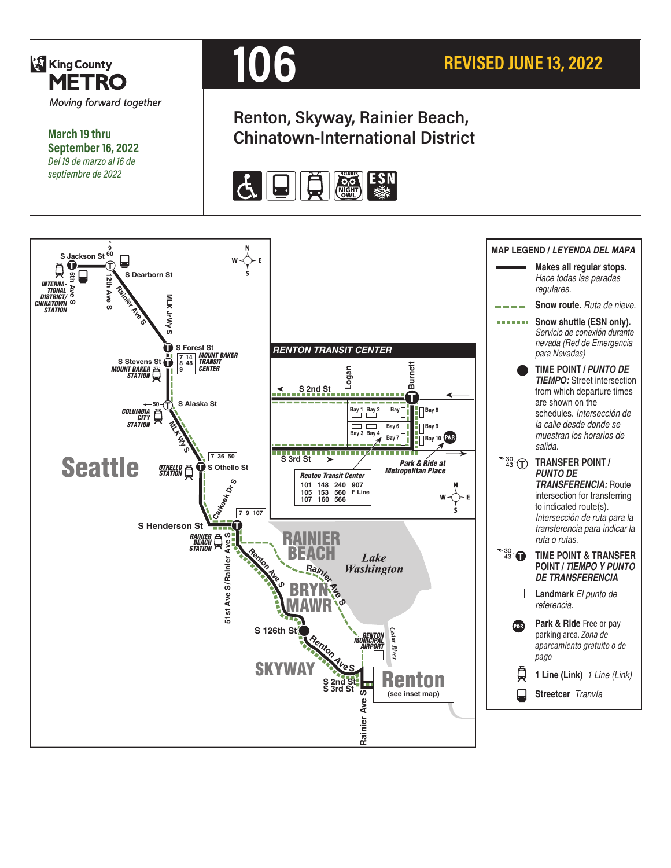

**March 19 thru September 16, 2022** *Del 19 de marzo al 16 de septiembre de 2022*



# **Renton, Skyway, Rainier Beach, Chinatown-International District**



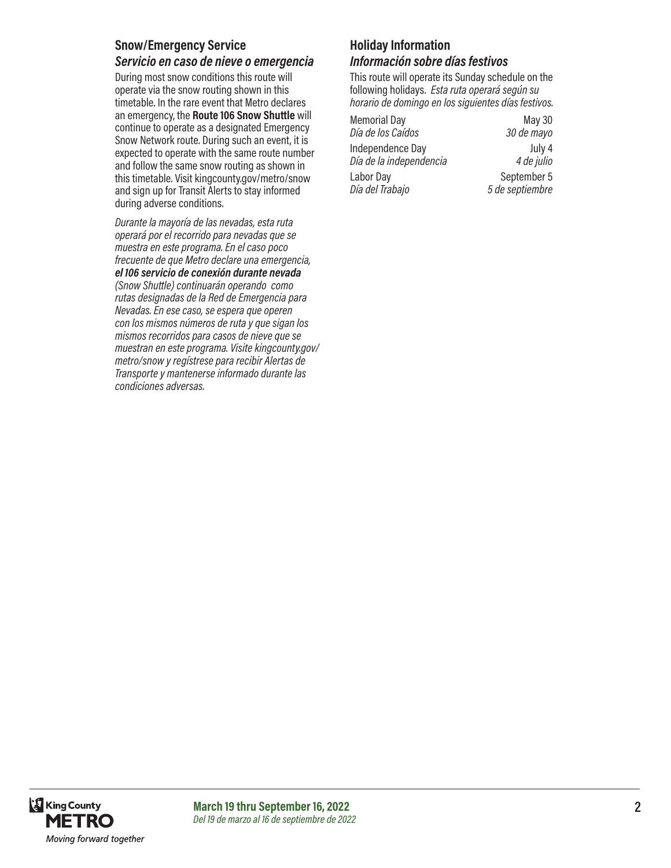#### **Snow/Emergency Service** *Servicio en caso de nieve o emergencia*

During most snow conditions this route will operate via the snow routing shown in this timetable. In the rare event that Metro declares an emergency, the **Route 106 Snow Shuttle** will continue to operate as a designated Emergency Snow Network route. During such an event, it is expected to operate with the same route number and follow the same snow routing as shown in this timetable. Visit kingcounty.gov/metro/snow and sign up for Transit Alerts to stay informed during adverse conditions.

*Durante la mayoría de las nevadas, esta ruta operará por el recorrido para nevadas que se muestra en este programa. En el caso poco frecuente de que Metro declare una emergencia, el 106 servicio de conexión durante nevada (Snow Shuttle) continuarán operando como rutas designadas de la Red de Emergencia para Nevadas. En ese caso, se espera que operen con los mismos números de ruta y que sigan los mismos recorridos para casos de nieve que se muestran en este programa. Visite kingcounty.gov/ metro/snow y regístrese para recibir Alertas de Transporte y mantenerse informado durante las condiciones adversas.*

# **Holiday Information**

*Información sobre días festivos*

This route will operate its Sunday schedule on the following holidays. *Esta ruta operará según su horario de domingo en los siguientes días festivos.*

| <b>Memorial Day</b>     | <b>May 30</b>   |
|-------------------------|-----------------|
| Día de los Caídos       | 30 de mayo      |
| Independence Day        | July 4          |
| Día de la independencia | 4 de julio      |
| Labor Day               | September 5     |
| Día del Trabajo         | 5 de septiembre |

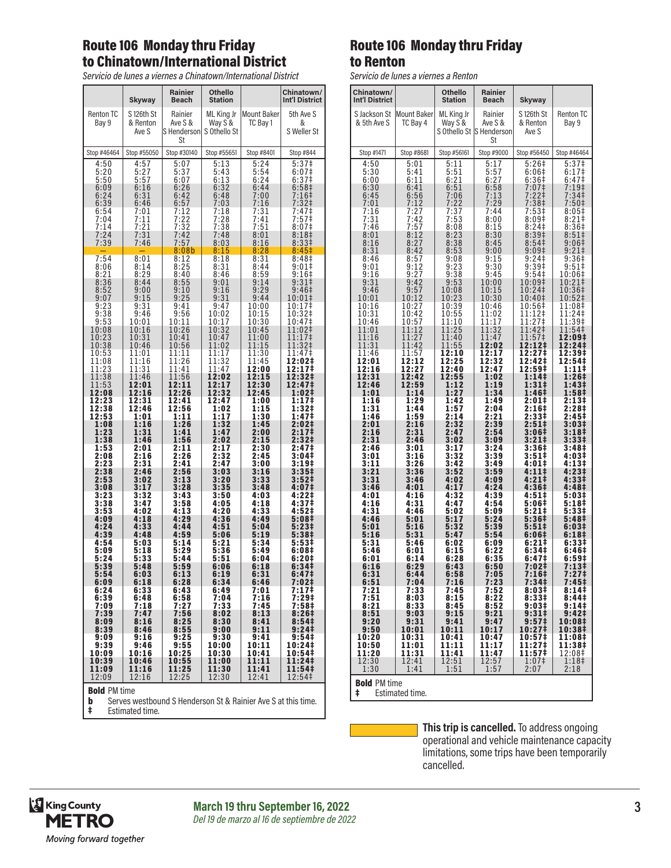## Route 106 Monday thru Friday to Chinatown/International District

*Servicio de lunes a viernes a Chinatown/International District* 

|                                                              | Skyway                                                              | Rainier<br>Beach                                                         | Othello<br>Station                                           |                                                              | Chinatown/<br>Int'l District                                                                                               |
|--------------------------------------------------------------|---------------------------------------------------------------------|--------------------------------------------------------------------------|--------------------------------------------------------------|--------------------------------------------------------------|----------------------------------------------------------------------------------------------------------------------------|
| <b>Renton TC</b><br>Bay 9                                    | S 126th St<br>& Renton<br>Ave S                                     | Rainier<br>Ave S &<br>S Henderson<br>St                                  | ML King Jr<br>Way S &<br>S Othello St                        | Mount Baker<br>TC Bay 1                                      | 5th Ave S<br>&<br>S Weller St                                                                                              |
| Stop #46464                                                  | Stop #55050                                                         | Stop #30140                                                              | Stop #55651                                                  | Stop #8401                                                   | Stop #844                                                                                                                  |
| 4:50<br>5:20<br>5:50<br>6:09<br>6:24<br>6:39<br>6:54<br>7:04 | 4:57<br>5:27<br>$\frac{5:57}{6:16}$<br>6:31<br>6:46<br>7:01<br>7:11 | 5:07<br>5:37<br>6:07<br>6:26<br>6:42<br>6:57<br>7:12<br>$7:22$<br>$7:32$ | 5:13<br>5:43<br>6:13<br>6:32<br>6:48<br>7:03<br>7:18<br>7:28 | 5:24<br>5:54<br>6:24<br>6:44<br>7:00<br>7:16<br>7:31<br>7:41 | 5:37 <sup>‡</sup><br>$6:07\pm$<br>6:37 <sup>‡</sup><br>6:58 <sup>‡</sup><br>$7:16+$<br>7:32 <sup>‡</sup><br>7:47‡<br>7:57‡ |
| 7:14<br>7:24<br>7:39                                         | 7:21<br>7:31<br>7:46                                                | 7:42<br>7:57<br>8:08b                                                    | 7:38<br>7:48<br>8:03<br>8:15                                 | 7:51<br>8:01<br>8:16<br>8:28                                 | 8:07 <sup>‡</sup><br>8:18‡<br>8:331<br>8:45 <sup>‡</sup>                                                                   |
| 7:54                                                         | 8:01                                                                | 8:12                                                                     | 8:18                                                         | 8:31                                                         | 8:48‡                                                                                                                      |
| 8:06                                                         | 8:14                                                                | 8:25                                                                     | 8:31                                                         | 8:44                                                         | 9:01‡                                                                                                                      |
| 8:21                                                         | 8:29                                                                | 8:40                                                                     | 8:46                                                         | 8:59                                                         | 9:16‡                                                                                                                      |
| 8:36                                                         | 8:44                                                                | 8:55                                                                     | 9:01                                                         | 9:14                                                         | 9:31                                                                                                                       |
| 8:52                                                         | 9:00                                                                | 9:10                                                                     | 9:16                                                         | 9:29                                                         | 9:46 <sup>‡</sup>                                                                                                          |
| 9:07                                                         | 9:15                                                                | 9:25                                                                     | 9:31                                                         | 9:44                                                         | 10:01‡                                                                                                                     |
| 9:23                                                         | 9:31                                                                | 9:41                                                                     | 9:47                                                         | 10:00                                                        | 10:17‡                                                                                                                     |
| 9:38                                                         | 9:46                                                                | 9:56                                                                     | 10:02                                                        | 10:15                                                        | 10:32‡                                                                                                                     |
| 9:53                                                         | 10:01                                                               | 10:11                                                                    | 10:17                                                        | 10:30                                                        | 10:47‡                                                                                                                     |
| 10:08                                                        | 10:16                                                               | 10:26                                                                    | 10:32                                                        | 10:45                                                        | 11:02‡                                                                                                                     |
| 10:23                                                        | 10:31                                                               | 10:41                                                                    | 10:47                                                        | 11:00                                                        | 11:17‡                                                                                                                     |
| 10:38                                                        | 10:46                                                               | 10:56                                                                    | 11:02                                                        | 11:15                                                        | 11:32‡                                                                                                                     |
| 10:53                                                        | 11:01                                                               | 11:11                                                                    | 11:17                                                        | 11:30                                                        | 11:47‡                                                                                                                     |
| 11:08                                                        | 11:16                                                               | 11:26                                                                    | 11:32                                                        | 11:45                                                        | 12:02‡                                                                                                                     |
| 11:23                                                        | 11:31                                                               | 11:41                                                                    | 11:47                                                        | 12:00                                                        | 12:17‡                                                                                                                     |
| 11:38                                                        | 11:46                                                               | 11:56                                                                    | 12:02                                                        | 12:15                                                        | 12:32‡                                                                                                                     |
| 11:53                                                        | 12:01                                                               | 12:11                                                                    | 12:17                                                        | 12:30                                                        | 12:47‡                                                                                                                     |
| 12:08                                                        | 12:16                                                               | 12:26                                                                    | 12:32                                                        | 12:45                                                        | 1:02‡                                                                                                                      |
| 12:23                                                        | 12:31                                                               | 12:41                                                                    | 12:47                                                        | 1:00                                                         | 1:17‡                                                                                                                      |
| 12:38                                                        | 12:46                                                               | 12:56                                                                    | 1:02                                                         | 1:15                                                         | 1:32‡                                                                                                                      |
| 12:53                                                        | 1:01                                                                | 1:11                                                                     | 1:17                                                         | 1:30                                                         | 1:47‡                                                                                                                      |
| 1:08                                                         | 1:16                                                                | 1:26                                                                     | 1:32                                                         | 1:45                                                         | 2:02‡                                                                                                                      |
| 1:23                                                         | 1:31                                                                | 1:41                                                                     | 1:47                                                         | 2:00                                                         | 2:17‡                                                                                                                      |
| 1:38                                                         | 1:46                                                                | 1:56                                                                     | 2:02                                                         | 2:15                                                         | 2:32 <sup>‡</sup>                                                                                                          |
| 1:53                                                         | 2:01                                                                | 2:11                                                                     | 2:17                                                         | 2:30                                                         | 2:47‡                                                                                                                      |
| 2:08                                                         | 2:16                                                                | 2:26                                                                     | 2:32                                                         | 2:45                                                         | 3:04‡                                                                                                                      |
| 2:23                                                         | 2:31                                                                | 2:41                                                                     | 2:47                                                         | 3:00                                                         | 3:19‡                                                                                                                      |
| 2:38                                                         | 2:46                                                                | 2:56                                                                     | 3:03                                                         | 3:16                                                         | 3:35 <sup>‡</sup>                                                                                                          |
| 2:53                                                         | 3:02                                                                | 3:13                                                                     | 3:20                                                         | 3:33                                                         | 3:52 <sup>‡</sup>                                                                                                          |
| 3:08                                                         | 3:17                                                                | 3:28                                                                     | 3:35                                                         | 3:48                                                         | 4:07‡                                                                                                                      |
| 3:23                                                         | 3:32                                                                | 3:43                                                                     | 3:50                                                         | 4:03                                                         | 4:22‡                                                                                                                      |
| 3:38                                                         | 3:47                                                                | 3:58                                                                     | 4:05                                                         | 4:18                                                         | 4:37 <sup>‡</sup>                                                                                                          |
| 3:53                                                         | 4:02                                                                | 4:13                                                                     | 4:20                                                         | 4:33                                                         | 4:52‡                                                                                                                      |
| 4:09                                                         | 4:18                                                                | 4:29                                                                     | 4:36                                                         | 4:49                                                         | 5:08#                                                                                                                      |
| 4:24                                                         | 4:33                                                                | 4:44                                                                     | 4:51                                                         | 5:04                                                         | 5:23‡                                                                                                                      |
| 4:39                                                         | 4:48                                                                | 4:59                                                                     | 5:06                                                         | 5:19                                                         | 5:38‡                                                                                                                      |
| 4:54                                                         | 5:03                                                                | 5:14                                                                     | 5:21                                                         | 5:34                                                         | 5:53‡                                                                                                                      |
| 5:09                                                         | 5:18                                                                | 5:29                                                                     | 5:36                                                         | 5:49                                                         | 6:08‡                                                                                                                      |
| 5:24                                                         | 5:33                                                                | 5:44                                                                     | 5:51                                                         | 6:04                                                         | 6:20‡                                                                                                                      |
| 5:39                                                         | 5:48                                                                | 5:59                                                                     | 6:06                                                         | 6:18                                                         | 6:34‡                                                                                                                      |
| 5:54                                                         | 6:03                                                                | 6:13                                                                     | 6:19                                                         | 6:31                                                         | 6:47‡                                                                                                                      |
| 6:09                                                         | 6:18                                                                | 6:28                                                                     | 6:34                                                         | 6:46                                                         | $7:02+$                                                                                                                    |
| 6:24                                                         | 6:33                                                                | 6:43                                                                     | 6:49                                                         | 7:01                                                         | 7:17‡                                                                                                                      |
| 6:39                                                         | 6:48                                                                | 6:58                                                                     | 7:04                                                         | 7:16                                                         | 7:29#                                                                                                                      |
| 7:09                                                         | 7:18                                                                | 7:27                                                                     | 7:33                                                         | 7:45                                                         | 7:58 <sup>‡</sup>                                                                                                          |
| 7:39                                                         | 7:47                                                                | 7:56                                                                     | 8:02                                                         | 8:13                                                         | 8:26‡                                                                                                                      |
| 8:09                                                         | 8:16                                                                | 8:25                                                                     | 8:30                                                         | 8:41                                                         | 8:54‡                                                                                                                      |
| 8:39                                                         | 8:46                                                                | 8:55                                                                     | 9:00                                                         | 9:11                                                         | 9:24‡                                                                                                                      |
| 9:09                                                         | 9:16                                                                | 9:25                                                                     | 9:30                                                         | 9:41                                                         | 9:54 <sup>‡</sup>                                                                                                          |
| 9:39<br>10:09<br>10:39                                       | 9:46<br>10:16<br>10:46                                              | 9:55<br>10:25<br>10:55                                                   | 10:00<br>10:30<br>11:00                                      | 10:11<br>10:41<br>11:11                                      | 10:24‡<br>10:54‡<br>11:24‡<br>11:54‡                                                                                       |
| 11:09                                                        | 11:16                                                               | 11:25                                                                    | 11:30                                                        | 11:41                                                        | 12:54‡                                                                                                                     |
| 12:09                                                        | 12:16                                                               | 12:25                                                                    | 12:30                                                        | 12:41                                                        |                                                                                                                            |

| <b>Bold</b> PM time |  |  |
|---------------------|--|--|
|---------------------|--|--|

**b** Serves westbound S Henderson St & Rainier Ave S at this time. **Bold** PM time<br>**b** Serves westbou<br>**‡** Estimated time.

#### Route 106 Monday thru Friday to Renton

*Servicio de lunes a viernes a Renton*

|                                     | JEI VILIU UE IUIIES A VIEIIIES A NEIIUJII |                           |                                                      |                                 |                           |
|-------------------------------------|-------------------------------------------|---------------------------|------------------------------------------------------|---------------------------------|---------------------------|
| Chinatown/<br><b>Int'l District</b> |                                           | Othello<br><b>Station</b> | Rainier<br>Beach                                     | Skyway                          |                           |
| S Jackson St<br>& 5th Ave S         | Mount Baker<br>TC Bay 4                   | ML King Jr<br>Way S &     | Rainier<br>Ave S &<br>S Othello St S Henderson<br>St | S 126th St<br>& Renton<br>Ave S | <b>Renton TC</b><br>Bay 9 |
| Stop #1471                          | Stop #8681                                | Stop #56161               | Stop #9000                                           | Stop #56450                     | Stop #46464               |
| 4:50                                | 5:01                                      | 5:11                      | 5:17                                                 | 5:26‡                           | 5:37 <sup>‡</sup>         |
| 5:30                                | 5:41                                      | 5:51                      | 5:57                                                 | 6:06‡                           | 6:17                      |
| 6:00                                | 6:11                                      | 6:21                      | 6:27                                                 | 6:36‡                           | 6:47‡                     |
| 6:30                                | 6:41                                      | 6:51                      | 6:58                                                 | 7:07‡                           | $7:19+$                   |
| 6:45                                | 6:56                                      | 7:06                      | 7:13                                                 | 7:22‡                           | 7:34‡                     |
| 7:01                                | 7:12                                      | 7:22                      | 7:29                                                 | 7:38‡                           | 7:50‡                     |
| 7:16                                | 7:27                                      | 7:37                      | 7:44                                                 | 7:53‡                           | 8:05‡                     |
| 7:31                                | 7:42                                      | 7:53                      | 8:00                                                 | 8:09‡                           | 8:21‡                     |
| 7:46                                | 7:57                                      | 8:08                      | 8:15                                                 | $8:24+$                         | 8:36‡                     |
| 8:01                                | 8:12                                      | 8:23                      | 8:30                                                 | 8:39 <sup>‡</sup>               | 8:51‡                     |
| 8:16                                | 8:27                                      | 8:38                      | 8:45                                                 | 8:54                            | 9:06‡                     |
| 8:31                                | 8:42                                      | 8:53                      | 9:00                                                 | 9:09 <sup>‡</sup>               | 9:21‡                     |
| 8:46                                | 8:57                                      | 9:08                      | 9:15                                                 | 9:24‡                           | 9:36 <sup>‡</sup>         |
| 9:01                                | 9:12                                      | 9:23                      | 9:30                                                 | 9:39 <sup>‡</sup>               | 9:51‡                     |
| 9:16                                | 9:27                                      | 9:38                      | 9:45                                                 | 9:54‡                           | 10:06‡                    |
| 9:31                                | 9:42                                      | 9:53                      | 10:00                                                | 10:09‡                          | 10:21‡                    |
| 9:46                                | 9:57                                      | 10:08                     | 10:15                                                | 10:24‡                          | 10:36‡                    |
| 10:01                               | 10:12                                     | 10:23                     | 10:30                                                | 10:40‡                          | 10:52‡                    |
| 10:16                               | 10:27                                     | 10:39                     | 10:46                                                | 10:56‡                          | 11:08‡                    |
| 10:31                               | 10:42                                     | 10:55                     | 11:02                                                | 11:12‡                          | 11:24‡                    |
| 10:46                               | 10:57                                     | 11:10                     | 11:17                                                | 11:27‡                          | 11:39‡                    |
| 11:01                               | 11:12                                     | 11:25                     | 11:32                                                | 11:42‡                          | 11:54‡                    |
| 11:16                               | 11:27                                     | 11:40                     | 11:47                                                | 11:57‡                          | 12:09‡                    |
| 11:31                               | 11:42                                     | 11:55                     | 12:02                                                | 12:12‡                          | 12:24‡                    |
| 11:46                               | 11:57                                     | 12:10                     | 12:17                                                | 12:27‡                          | 12:39‡                    |
| 12:01                               | 12:12                                     | 12:25                     | 12:32                                                | 12:42‡                          | 12:54‡                    |
| 12:16                               | 12:27                                     | 12:40                     | 12:47                                                | 12:59‡                          | 1:11‡                     |
| 12:31                               | 12:42                                     | 12:55                     | 1:02                                                 | 1:14‡                           | 1:26‡                     |
| 12:46                               | 12:59                                     | 1:12                      | 1:19                                                 | 1:31‡                           | 1:43‡                     |
| 1:01                                | 1:14                                      | 1:27                      | 1:34                                                 | 1:46‡                           | 1:58‡                     |
| 1:16                                | 1:29                                      | 1:42                      | 1:49                                                 | 2:01‡                           | 2:13‡                     |
| 1:31                                | 1:44                                      | 1:57                      | 2:04                                                 | 2:16‡                           | 2:28‡                     |
| 1:46                                | 1:59                                      | 2:14                      | 2:21                                                 | 2:33‡                           | 2:45‡                     |
| 2:01                                | 2:16                                      | 2:32                      | 2:39                                                 | 2:51‡                           | 3:03#                     |
| 2:16                                | 2:31                                      | 2:47                      | 2:54                                                 | 3:06‡                           | 3:18‡                     |
| 2:31                                | 2:46                                      | 3:02                      | 3:09                                                 | 3:21‡                           | 3:33‡                     |
| 2:46                                | 3:01                                      | 3:17                      | 3:24                                                 | 3:36‡                           | 3:48‡                     |
| 3:01                                | 3:16                                      | 3:32                      | 3:39                                                 | 3:51‡                           | 4:03‡                     |
| 3:11                                | 3:26                                      | 3:42                      | 3:49                                                 | 4:01‡                           | 4:13#                     |
| 3:21                                | 3:36                                      | 3:52                      | 3:59                                                 | 4:11‡                           | 4:23‡                     |
| 3:31                                | 3:46                                      | 4:02                      | 4:09                                                 | 4:21‡                           | 4:33‡                     |
| 3:46                                | 4:01                                      | 4:17                      | 4:24                                                 | 4:36‡                           | 4:48‡                     |
| 4:01                                | 4:16                                      | 4:32                      | 4:39                                                 | 4:51‡                           | 5:03‡                     |
| 4:16                                | 4:31                                      | 4:47                      | 4:54                                                 | 5:06‡                           | 5:18‡                     |
| 4:31                                | 4:46                                      | 5:02                      | 5:09                                                 | 5:21‡                           | 5:33‡                     |
| 4:46                                | 5:01                                      | 5:17                      | 5:24                                                 | 5:36‡                           | 5:48‡                     |
| 5:01                                | 5:16                                      | 5:32                      | 5:39                                                 | 5:51‡                           | 6:03‡                     |
| 5:16                                | 5:31                                      | 5:47                      | 5:54                                                 | 6:06‡                           | 6:18‡                     |
| 5:31                                | 5:46                                      | 6:02                      | 6:09                                                 | 6:211                           | 6:33‡                     |
| 5:46                                | 6:01                                      | 6:15                      | 6:22                                                 | 6:34‡                           | 6:46‡                     |
| 6:01                                | 6:14                                      | 6:28                      | 6:35                                                 | 6:47‡                           | 6:59‡                     |
| 6:16                                | 6:29                                      | 6:43                      | 6:50                                                 | 7:02‡                           | 7:13‡                     |
| 6:31                                | 6:44                                      | 6:58                      | 7:05                                                 | 7:16‡                           | 7:27‡                     |
| 6:51                                | 7:04                                      | 7:16                      | 7:23                                                 | 7:34#                           | 7:45 <sup>‡</sup>         |
| 7:21                                | 7:33                                      | 7:45                      | 7:52                                                 | 8:03‡                           | 8:14‡                     |
| 7:51                                | 8:03                                      | 8:15                      | 8:22                                                 | 8:33‡                           | 8:44‡                     |
| 8:21                                | 8:33                                      | 8:45                      | 8:52                                                 | 9:03‡                           | $9:14^{\frac{1}{4}}$      |
| 8:51                                | 9:03                                      | 9:15                      | 9:21                                                 | 9:31                            | 9:42‡                     |
| 9:20                                | 9:31                                      | 9:41                      | 9:47                                                 | 9:57‡                           | 10:08‡                    |
| 9:50                                | 10:01                                     | 10:11                     | 10:17                                                | 10:27‡                          | 10:38‡                    |
| 10:20                               | 10:31                                     | 10:41                     | 10:47                                                | 10:57‡                          | 11:08‡                    |
| 10:50                               | 11:01                                     | 11:11                     | 11:17                                                | 11:27‡                          | 11:38‡                    |
| 11:20                               | 11:31                                     | 11:41                     | 11:47                                                | 11:57‡                          | 12:08‡                    |
| 12:30                               | 12:41                                     | 12:51                     | 12:57                                                | 1:07 <sup>‡</sup>               | 1:18 <sup>‡</sup>         |
| 1:30                                | 1:41                                      | 1:51                      | 1:57                                                 | 2:07                            | 2:18                      |
| <b>Bold PM time</b>                 |                                           |                           |                                                      |                                 |                           |

‡ Estimated time.

**This trip is cancelled.** To address ongoing operational and vehicle maintenance capacity limitations, some trips have been temporarily cancelled.

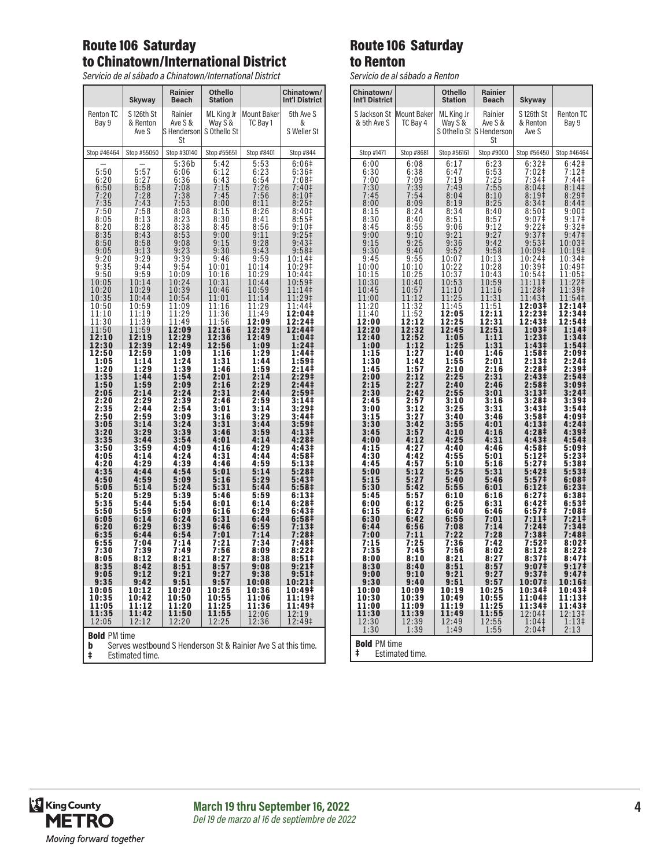# Route 106 Saturday to Chinatown/International District

*Servicio de al sábado a Chinatown/International District* 

|                                                                | Skyway                                         | <b>Rainier</b><br><b>Beach</b>                       | <b>Othello</b><br><b>Station</b>      |                                                                   | Chinatown/<br><b>Int'l District</b>               |
|----------------------------------------------------------------|------------------------------------------------|------------------------------------------------------|---------------------------------------|-------------------------------------------------------------------|---------------------------------------------------|
| <b>Renton TC</b><br>Bay 9                                      | S 126th St<br>& Renton<br>Ave S                | Rainier<br>Ave S &<br>S Henderson<br>St              | ML King Jr<br>Way S &<br>S Othello St | <b>Mount Baker</b><br>TC Bay 1                                    | 5th Ave S<br>&<br>S Weller St                     |
| Stop #46464                                                    | Stop #55050                                    | Stop #30140                                          | Stop #55651                           | Stop #8401                                                        | Stop #844                                         |
|                                                                | $5:57$<br>6:27<br>6:58<br>7:28                 | $\frac{5:36b}{6:06}$<br>6:06<br>7:08<br>7:38<br>7:53 | $\frac{5:42}{6:12}$<br>6:43           | 5:53<br>6:23<br>6:54<br>6:54<br>7:26<br>7:56<br>8:11<br>8:36      | 6:06‡<br>$6:36‡$<br>7:08‡                         |
| $\frac{1}{5:50}$<br>$\frac{6:20}{6:50}$<br>$\frac{7:20}{7:35}$ | 7:43                                           | 7:53                                                 | $7:15$<br>$7:45$<br>8:00              |                                                                   | 7:40‡<br>8:10 <sup>‡</sup><br>8:25 <sup>‡</sup>   |
| $7:50$<br>8:05<br>$\frac{8:20}{8:35}$                          | $7:58$<br>8:13<br>8:28<br>8:43                 | 8:08<br>$8:23$<br>$8:38$<br>$8:53$<br>$9:08$         | 8:15<br>8:30<br>8:45                  | 8:26<br>8:41<br>$\frac{8:56}{9:11}$                               | 8:40 <sup>‡</sup><br>$8:55$<br>9:10+              |
| $8:50$<br>$9:05$<br>$9:20$<br>$9:35$                           | $8:58$<br>$9:13$<br>$9:29$<br>$9:44$           |                                                      | 9:00<br>$9:15$<br>$9:30$              | $9:28$<br>$9:43$                                                  | $9:25+$<br>9:43 <sup>‡</sup><br>9:58 <sup>‡</sup> |
| 9:50                                                           | 9:59                                           | $9:23$<br>$9:39$<br>$9:54$<br>10:09                  | 9:46<br>10:01<br>10:16                | 9:59<br>10:14<br>10:29                                            | 10:14‡<br>10:29‡<br>10:44‡                        |
| 10:05<br>$\frac{10:20}{10:35}$                                 | 10:14<br>10:29<br>10:44                        | $10:24$<br>$10:39$<br>$10:54$<br>$11:09$<br>$11:29$  | 10:31<br>10:46<br>11:01               | 10:44<br>10:59<br>11:14                                           | 10:59‡<br>11:14‡<br>11:29‡                        |
| $\frac{10:50}{11:10}$<br>11:30                                 | $\frac{10:59}{11:19}$<br>$\frac{11:39}{11:39}$ | 11:49                                                | $\frac{11:16}{11:36}$<br>11:56        | $\frac{11:29}{11:49}$<br>12:09                                    | 11:44‡<br>12:04‡<br>12:24‡                        |
| 11:50<br>12:10<br>12:30                                        | 11:59<br>12:19<br>12:39                        | 12:09<br>12:29<br>12:49                              | 12:16<br>12:36<br>12:56               | 12:29<br>12:49<br>1:09                                            | 12:44‡<br>1:04 <sup>‡</sup><br>1:24‡              |
| 12:50<br>1:05<br>1:20                                          | $\overline{1}$ 2:59<br>1:14<br>1:29            | 1:09<br>1:24<br>1:39                                 | 1:16<br>1:31<br>1:46                  | 1:29<br>1:44                                                      | 1:44‡<br>1:59‡<br>2:14‡                           |
| $\frac{1:35}{1:50}$<br>2:05                                    | 1:44<br>1:59<br>2:14                           | 1:54<br>2:09<br>2:24<br>2:39                         | 2:01<br>2:16<br>2:31                  | $\frac{1:59}{2:14}$<br>$\frac{2:29}{2:29}$<br>$\frac{2:44}{2:59}$ | 2:29‡<br>2:441<br>2:59‡<br>3:14‡                  |
| 2:20<br>2:35<br>2:50                                           | 2:29<br>2:44<br>2:59                           | 2:54<br>3:09                                         | 2:46<br>3:01<br>3:16                  | $3:14$<br>$3:29$                                                  | $3:29+$<br>3:44‡                                  |
| 3:05<br>3:20<br>3:35                                           | 3:14<br>3:29<br>3:44                           | 3:24<br>3:39<br>3:54                                 | 3:31<br>3:46<br>4:01                  | 3:44<br>3:59<br>4:14                                              | 3:59‡<br>4:13‡<br>4:28 <sup>‡</sup>               |
| 3:50<br>4:05<br>4:20                                           | 3:59<br>4:14<br>4:29                           | 4:09<br>4:24<br>4:39                                 | 4:16<br>4:31<br>4:46                  | 4:29<br>4:44<br>4:59                                              | 4:43#<br>4:58‡<br>5:13‡                           |
| 4:35<br>4:50<br>5:05                                           | 4:44<br>4:59<br>5:14                           | 4:54<br>5:09<br>5:24                                 | 5:01<br>5:16<br>5:31                  | 5:14<br>5:29<br>5:44                                              | 5:281<br>5:43 <sup>‡</sup><br>5:58‡               |
| 5:20<br>5:35<br>$\frac{5:50}{6:05}$                            | 5:29<br>5:44<br>$\frac{5:59}{6:14}$            | 5:39<br>5:54<br>6:09                                 | 5:46<br>6:01<br>6:16                  | 5:59<br>6:14<br>$6:29$<br>$6:44$                                  | 6:13#<br>6:28 <sup>1</sup><br>6:43‡               |
| 6:20<br>6:35                                                   | 6:29<br>6:44                                   | 6:24<br>6:39<br>6:54                                 | 6:31<br>$6:46$<br>$7:01$              | 6:59<br>7:14                                                      | 6:58‡<br>7:13‡<br>7:28‡                           |
| 6:55<br>7:30<br>8:05                                           | 7:04<br>7:39<br>8:12                           | 7:14<br>7:49<br>8:21                                 | 7:21<br>7:56<br>8:27                  | 7:34<br>8:09<br>8:38                                              | 7:48‡<br>8:22 <sup>‡</sup><br>8:51#               |
| 8:35<br>9:05<br>9:35                                           | 8:42<br>9:12<br>9:42                           | 8:51<br>9:21<br>$\frac{9:51}{10:20}$                 | 8:57<br>9:27<br>9:57                  | 9:08<br>9:38<br>10:08                                             | $9:21$ ‡<br>$9:51\frac{1}{1}$<br>10:211           |
| 10:05<br>10:35<br>11:05                                        | 10:12<br>10:42<br>11:12                        | 10:50<br>11:20                                       | 10:25<br>10:55<br>11:25               | 10:36<br>11:06<br>11:36                                           | 10:49‡<br>11:19‡<br>11:49‡                        |
| 11:35<br>12:05<br><b>Bold PM time</b>                          | 11:42<br>12:12                                 | 11:50<br>12:20                                       | 11:55<br>12:25                        | 12:06<br>12:36                                                    | 12:19<br>12:49‡                                   |

Route 106 Saturday to Renton *Servicio de al sábado a Renton*

| Chinatown/<br><b>Int'l District</b>       |                                           | Othello<br><b>Station</b>                         | Rainier<br><b>Beach</b>                              | <b>Skyway</b>                                               |                                                 |  |
|-------------------------------------------|-------------------------------------------|---------------------------------------------------|------------------------------------------------------|-------------------------------------------------------------|-------------------------------------------------|--|
| S Jackson St<br>& 5th Ave S               | Mount Baker<br>TC Bay 4                   | ML King Jr<br>Way S &                             | Rainier<br>Ave S &<br>S Othello St S Henderson<br>St | S 126th St<br>& Renton<br>Ave S                             | <b>Renton TC</b><br>Bay 9                       |  |
| Stop #1471                                | Stop #8681                                | Stop #56161                                       | Stop #9000                                           | Stop #56450                                                 | Stop #46464                                     |  |
| 6:00<br>6:30<br>7:00<br>7:30              | 6:08<br>$6:38$<br>$7:09$<br>7:39          | 6:17<br>6:47<br>7:19<br>7:49                      | $6:23$<br>$6:53$<br>$7:25$<br>7:55                   | $6:32†$<br>7:02‡<br>7:34‡<br>8:04 <sup>‡</sup>              | $6:42$<br>7:12<br>7:44‡<br>8:14                 |  |
| 7:45<br>8:00                              | 7:54<br>8:09                              | 8:04<br>8:19<br>8:34                              | 8:10<br>8:25<br>8:40                                 | 8:19 <sup>‡</sup><br>8:34 <sup>‡</sup><br>8:50‡             | 8:29 <sup>‡</sup><br>8:44 <sup>‡</sup><br>9:00‡ |  |
| 8:15<br>8:30<br>8:45                      | 8:24<br>8:40<br>8:55<br>9:10              | $\frac{8:51}{9:06}$                               | 8:57<br>9:12<br>9:27                                 | 9:07 <sup>‡</sup><br>$9:22$ ‡                               | $9:17$<br>$9:32$                                |  |
| 9:00<br>9:15<br>9:30                      | 9:25<br>9:40                              | 9:21                                              | 9:42<br>9:58                                         | 9:37 <sup>‡</sup><br>$9:53\ddagger$<br>10:09‡               | 9:47 <sup>‡</sup><br>10:03‡                     |  |
| 9:45<br>10:00<br>10:15                    | $\frac{9:55}{10:10}$                      | $9:36$<br>$9:52$<br>$10:07$<br>$10:22$<br>$10:37$ | $10:13$<br>$10:28$<br>10:43                          | $10:24$<br>$10:39$<br>$10:54$                               | $10:19+$<br>$10:34+$<br>$10:49+$<br>1<br>1:05   |  |
| 10:30<br>10:45<br>11:00<br>11:20<br>11:40 | 10:40<br>10:57<br>11:12<br>11:32<br>11:52 | 10:53<br>11:10<br>11:25<br>11:45<br>12:05         | 10:59<br>11:16<br>11:31<br>11:51<br>12:11            | 11:11‡<br>11:28‡<br>11:43‡<br>12:03‡<br>12:23‡              | 11:22‡<br>11:39‡<br>11:54‡<br>12:14‡<br>12:34‡  |  |
| 12:00<br>12:20<br>12:40                   | 12:12<br>12:32<br>12:52                   | 12:25<br>12:45<br>1:05                            | $\bar{1}\bar{2}$ :31<br>12:51<br>1:11                | $12:43+$<br>1:03‡<br>$1:23+$                                | 12:541<br>1:14‡<br>1:34 <sup>‡</sup>            |  |
| 1:00<br>1:15<br>1:30<br>1:45              | 1:12<br>1:27<br>1:42<br>1:57              | 1:25<br>1:40<br>1:55<br>2:10                      | 1:31<br>1:46<br>2:01<br>2:16                         | 1:43 <sup>‡</sup><br>1:58‡<br>2:13‡<br>2:28 <sup>‡</sup>    | 1:54 <sup>‡</sup><br>2:09#<br>2:241<br>2:39‡    |  |
| 2:00<br>$\frac{1}{2:15}$<br>2:30          | 2:12<br>2:27<br>2:42                      | 2:25<br>2:40<br>2:55                              | $2:31$<br>$2:46$<br>$3:01$<br>$3:16$                 | 2:43‡<br>2:58 <sup>‡</sup>                                  | 2:54‡<br>3:09‡<br>3:24‡                         |  |
| 2:45<br>3:00<br>3:15                      | 2:57<br>3:12<br>3:27                      | 3:10<br>3:25<br>3:40                              | 3:31<br>3:46                                         | $3:13†$<br>3:28‡<br>3:43‡<br>3:58‡                          | 3:39#<br>3:54 <sup>‡</sup><br>4:09‡             |  |
| 3:30<br>3:45<br>4:00                      | 3:42<br>3:57<br>4:12                      | 3:55<br>4:10<br>4:25                              | 4:01<br>4:16<br>4:31                                 | 4:13#<br>4:28 <sup>‡</sup><br>4:43‡                         | 4:24‡<br>4:39#<br>4:54 <sup>‡</sup>             |  |
| 4:15<br>4:30<br>4:45                      | 4:27<br>4:42<br>4:5<br>7                  | 4:40<br>4:55<br>5:10                              | 4:46<br>5:01<br>5:16                                 | 4:58‡<br>5:12‡<br>5:27‡                                     | 5:09‡<br>5:23‡<br>5:38 <sup>‡</sup>             |  |
| 5:00<br>5:15<br>5:30                      | 5:12<br>5:27<br>5:42                      | 5:25<br>5:40<br>5:55                              | 5:31<br>5:46<br>6:01                                 | 5:42‡<br>5:57 <sup>‡</sup><br>6:12‡                         | 5:53‡<br>6:08‡<br>6:23‡                         |  |
| 5:45<br>6:00<br>6:15<br>6:30              | 5:57<br>6:12<br>6:27<br>6:42              | 6:10<br>6:25<br>6:40<br>6:55                      | 6:16<br>6:31<br>6:46<br>7:01                         | 6:27 <sup>‡</sup><br>6:42‡<br>6:57 <sup>‡</sup><br>$7:11$ ‡ | 6:38#<br>6:53‡<br>7:08‡<br>7:21#                |  |
| 6:44<br>7:00<br>7:15                      | 6:56<br>7:11<br>7:25                      | 7:08<br>7:22<br>7:36                              | 7:14<br>7:28<br>7:42                                 | 7:24‡<br>7:38‡<br>7:52‡                                     | 7:34‡<br>7:48‡<br>8:02‡                         |  |
| 7:35<br>8:00<br>8:30                      | 7:45<br>8:10<br>8:40                      | 7:56<br>8:21<br>8:51                              | 8:02<br>8:27<br>8:57                                 | 8:12‡<br>8:37 <sup>‡</sup><br>9:07‡                         | 8:22‡<br>8:47 <sup>‡</sup><br>9:17 <sup>‡</sup> |  |
| 9:00<br>9:30<br>10:00                     | 9:10<br>9:40<br>10:09                     | 9:21<br>9:51<br>10:19                             | 9:27<br>9:57<br>10:25                                | 9:37‡<br>10:07‡<br>10:34‡                                   | 9:47‡<br>10:16‡                                 |  |
| 10:30<br>11:00<br>11:30                   | 10:39<br>11:09<br>11:39                   | 10:49<br>11:19<br>11:49                           | 10:55<br>11:25<br>11:55                              | 11:04‡<br>11:34‡<br>12:04‡                                  | 10:43‡<br>11:13‡<br>11:43‡<br>12:13‡            |  |
| 12:30<br>1:30                             | 12:39<br>1:39                             | 12:49<br>1:49                                     | 12:55<br>1:55                                        | 1:04<br>2:04‡                                               | 1:13 <sup>‡</sup><br>2:13                       |  |
| ŧ                                         | <b>Bold PM time</b><br>Estimated time.    |                                                   |                                                      |                                                             |                                                 |  |



**b** Serves westbound S Henderson St & Rainier Ave S at this time. ‡ Estimated time.